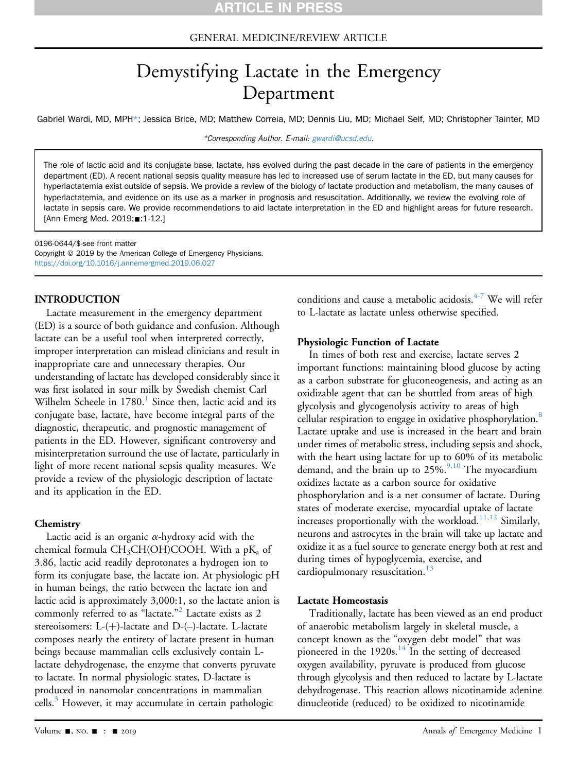# GENERAL MEDICINE/REVIEW ARTICLE

# Demystifying Lactate in the Emergency Department

Gabriel Wardi, MD, MPH\*; Jessica Brice, MD; Matthew Correia, MD; Dennis Liu, MD; Michael Self, MD; Christopher Tainter, MD

\*Corresponding Author. E-mail: [gwardi@ucsd.edu.](mailto:gwardi@ucsd.edu)

The role of lactic acid and its conjugate base, lactate, has evolved during the past decade in the care of patients in the emergency department (ED). A recent national sepsis quality measure has led to increased use of serum lactate in the ED, but many causes for hyperlactatemia exist outside of sepsis. We provide a review of the biology of lactate production and metabolism, the many causes of hyperlactatemia, and evidence on its use as a marker in prognosis and resuscitation. Additionally, we review the evolving role of lactate in sepsis care. We provide recommendations to aid lactate interpretation in the ED and highlight areas for future research. [Ann Emerg Med. 2019; 1-1-12.]

0196-0644/\$-see front matter

Copyright © 2019 by the American College of Emergency Physicians. <https://doi.org/10.1016/j.annemergmed.2019.06.027>

#### INTRODUCTION

Lactate measurement in the emergency department (ED) is a source of both guidance and confusion. Although lactate can be a useful tool when interpreted correctly, improper interpretation can mislead clinicians and result in inappropriate care and unnecessary therapies. Our understanding of lactate has developed considerably since it was first isolated in sour milk by Swedish chemist Carl Wilhelm Scheele in  $1780<sup>1</sup>$  $1780<sup>1</sup>$  Since then, lactic acid and its conjugate base, lactate, have become integral parts of the diagnostic, therapeutic, and prognostic management of patients in the ED. However, significant controversy and misinterpretation surround the use of lactate, particularly in light of more recent national sepsis quality measures. We provide a review of the physiologic description of lactate and its application in the ED.

#### **Chemistry**

Lactic acid is an organic  $\alpha$ -hydroxy acid with the chemical formula  $CH<sub>3</sub>CH(OH)COOH$ . With a pK<sub>3</sub> of 3.86, lactic acid readily deprotonates a hydrogen ion to form its conjugate base, the lactate ion. At physiologic pH in human beings, the ratio between the lactate ion and lactic acid is approximately 3,000:1, so the lactate anion is commonly referred to as "lactate." [2](#page-8-1) Lactate exists as 2 stereoisomers:  $L-(+)$ -lactate and  $D-(-)$ -lactate. L-lactate composes nearly the entirety of lactate present in human beings because mammalian cells exclusively contain Llactate dehydrogenase, the enzyme that converts pyruvate to lactate. In normal physiologic states, D-lactate is produced in nanomolar concentrations in mammalian cells.<sup>[3](#page-8-2)</sup> However, it may accumulate in certain pathologic

conditions and cause a metabolic acidosis.<sup>[4-7](#page-8-3)</sup> We will refer to L-lactate as lactate unless otherwise specified.

#### Physiologic Function of Lactate

In times of both rest and exercise, lactate serves 2 important functions: maintaining blood glucose by acting as a carbon substrate for gluconeogenesis, and acting as an oxidizable agent that can be shuttled from areas of high glycolysis and glycogenolysis activity to areas of high cellular respiration to engage in oxidative phosphorylation.<sup>[8](#page-8-4)</sup> Lactate uptake and use is increased in the heart and brain under times of metabolic stress, including sepsis and shock, with the heart using lactate for up to 60% of its metabolic demand, and the brain up to  $25\%$ <sup>[9,10](#page-8-5)</sup> The myocardium oxidizes lactate as a carbon source for oxidative phosphorylation and is a net consumer of lactate. During states of moderate exercise, myocardial uptake of lactate increases proportionally with the workload. $11,12$  Similarly, neurons and astrocytes in the brain will take up lactate and oxidize it as a fuel source to generate energy both at rest and during times of hypoglycemia, exercise, and cardiopulmonary resuscitation.<sup>[13](#page-8-7)</sup>

#### Lactate Homeostasis

Traditionally, lactate has been viewed as an end product of anaerobic metabolism largely in skeletal muscle, a concept known as the "oxygen debt model" that was pioneered in the  $1920s<sup>14</sup>$  In the setting of decreased oxygen availability, pyruvate is produced from glucose through glycolysis and then reduced to lactate by L-lactate dehydrogenase. This reaction allows nicotinamide adenine dinucleotide (reduced) to be oxidized to nicotinamide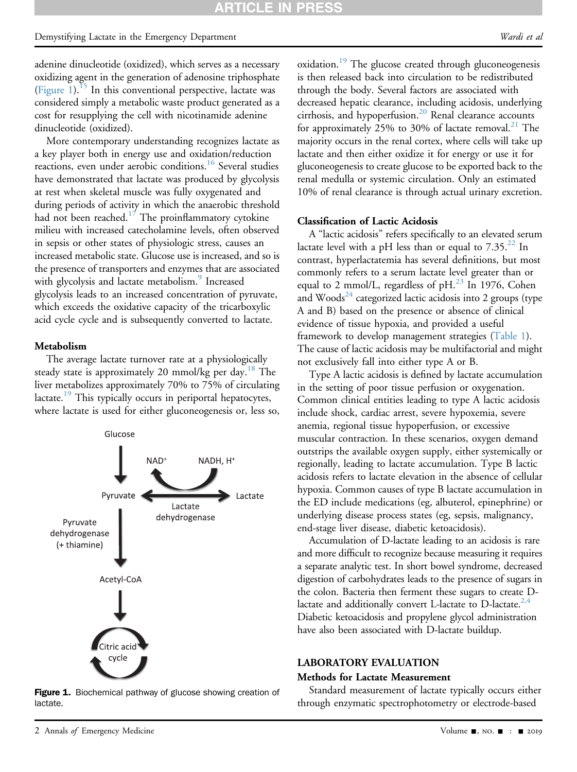# Demystifying Lactate in the Emergency Department and the state of the state of the Wardi et al.

adenine dinucleotide (oxidized), which serves as a necessary oxidizing agent in the generation of adenosine triphosphate [\(Figure 1](#page-1-0)).<sup>[15](#page-8-9)</sup> In this conventional perspective, lactate was considered simply a metabolic waste product generated as a cost for resupplying the cell with nicotinamide adenine dinucleotide (oxidized).

More contemporary understanding recognizes lactate as a key player both in energy use and oxidation/reduction reactions, even under aerobic conditions.<sup>[16](#page-8-10)</sup> Several studies have demonstrated that lactate was produced by glycolysis at rest when skeletal muscle was fully oxygenated and during periods of activity in which the anaerobic threshold had not been reached.<sup>[17](#page-9-0)</sup> The proinflammatory cytokine milieu with increased catecholamine levels, often observed in sepsis or other states of physiologic stress, causes an increased metabolic state. Glucose use is increased, and so is the presence of transporters and enzymes that are associated with glycolysis and lactate metabolism.<sup>[9](#page-8-5)</sup> Increased glycolysis leads to an increased concentration of pyruvate, which exceeds the oxidative capacity of the tricarboxylic acid cycle cycle and is subsequently converted to lactate.

#### Metabolism

The average lactate turnover rate at a physiologically steady state is approximately 20 mmol/kg per day.<sup>[18](#page-9-1)</sup> The liver metabolizes approximately 70% to 75% of circulating  $lactate.<sup>19</sup>$  $lactate.<sup>19</sup>$  $lactate.<sup>19</sup>$  This typically occurs in periportal hepatocytes, where lactate is used for either gluconeogenesis or, less so,

<span id="page-1-0"></span>

Figure 1. Biochemical pathway of glucose showing creation of lactate.

oxidation.<sup>[19](#page-9-2)</sup> The glucose created through gluconeogenesis is then released back into circulation to be redistributed through the body. Several factors are associated with decreased hepatic clearance, including acidosis, underlying cirrhosis, and hypoperfusion.<sup>[20](#page-9-3)</sup> Renal clearance accounts for approximately 25% to 30% of lactate removal.<sup>[21](#page-9-4)</sup> The majority occurs in the renal cortex, where cells will take up lactate and then either oxidize it for energy or use it for gluconeogenesis to create glucose to be exported back to the renal medulla or systemic circulation. Only an estimated 10% of renal clearance is through actual urinary excretion.

#### Classification of Lactic Acidosis

A "lactic acidosis" refers specifically to an elevated serum lactate level with a pH less than or equal to  $7.35.^{22}$  $7.35.^{22}$  $7.35.^{22}$  In contrast, hyperlactatemia has several definitions, but most commonly refers to a serum lactate level greater than or equal to 2 mmol/L, regardless of  $pH<sup>23</sup>$  In 1976, Cohen and Woods $^{24}$  $^{24}$  $^{24}$  categorized lactic acidosis into 2 groups (type A and B) based on the presence or absence of clinical evidence of tissue hypoxia, and provided a useful framework to develop management strategies [\(Table 1](#page-2-0)). The cause of lactic acidosis may be multifactorial and might not exclusively fall into either type A or B.

Type A lactic acidosis is defined by lactate accumulation in the setting of poor tissue perfusion or oxygenation. Common clinical entities leading to type A lactic acidosis include shock, cardiac arrest, severe hypoxemia, severe anemia, regional tissue hypoperfusion, or excessive muscular contraction. In these scenarios, oxygen demand outstrips the available oxygen supply, either systemically or regionally, leading to lactate accumulation. Type B lactic acidosis refers to lactate elevation in the absence of cellular hypoxia. Common causes of type B lactate accumulation in the ED include medications (eg, albuterol, epinephrine) or underlying disease process states (eg, sepsis, malignancy, end-stage liver disease, diabetic ketoacidosis).

Accumulation of D-lactate leading to an acidosis is rare and more difficult to recognize because measuring it requires a separate analytic test. In short bowel syndrome, decreased digestion of carbohydrates leads to the presence of sugars in the colon. Bacteria then ferment these sugars to create Dlactate and additionally convert L-lactate to D-lactate. $2.4$ Diabetic ketoacidosis and propylene glycol administration have also been associated with D-lactate buildup.

# LABORATORY EVALUATION Methods for Lactate Measurement

Standard measurement of lactate typically occurs either through enzymatic spectrophotometry or electrode-based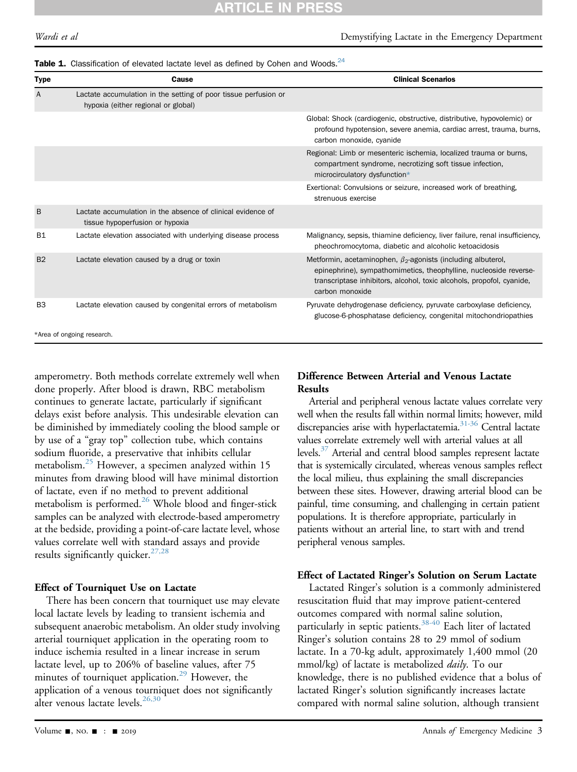#### <span id="page-2-0"></span>Table 1. Classification of elevated lactate level as defined by Cohen and Woods. $^{24}$

| Type           | Cause                                                                                                  | <b>Clinical Scenarios</b>                                                                                                                                                                                                            |
|----------------|--------------------------------------------------------------------------------------------------------|--------------------------------------------------------------------------------------------------------------------------------------------------------------------------------------------------------------------------------------|
| A              | Lactate accumulation in the setting of poor tissue perfusion or<br>hypoxia (either regional or global) |                                                                                                                                                                                                                                      |
|                |                                                                                                        | Global: Shock (cardiogenic, obstructive, distributive, hypovolemic) or<br>profound hypotension, severe anemia, cardiac arrest, trauma, burns,<br>carbon monoxide, cyanide                                                            |
|                |                                                                                                        | Regional: Limb or mesenteric ischemia, localized trauma or burns,<br>compartment syndrome, necrotizing soft tissue infection,<br>microcirculatory dysfunction*                                                                       |
|                |                                                                                                        | Exertional: Convulsions or seizure, increased work of breathing,<br>strenuous exercise                                                                                                                                               |
| B              | Lactate accumulation in the absence of clinical evidence of<br>tissue hypoperfusion or hypoxia         |                                                                                                                                                                                                                                      |
| <b>B1</b>      | Lactate elevation associated with underlying disease process                                           | Malignancy, sepsis, thiamine deficiency, liver failure, renal insufficiency,<br>pheochromocytoma, diabetic and alcoholic ketoacidosis                                                                                                |
| B <sub>2</sub> | Lactate elevation caused by a drug or toxin                                                            | Metformin, acetaminophen, $\beta_2$ -agonists (including albuterol,<br>epinephrine), sympathomimetics, theophylline, nucleoside reverse-<br>transcriptase inhibitors, alcohol, toxic alcohols, propofol, cyanide,<br>carbon monoxide |
| B <sub>3</sub> | Lactate elevation caused by congenital errors of metabolism                                            | Pyruvate dehydrogenase deficiency, pyruvate carboxylase deficiency,<br>glucose-6-phosphatase deficiency, congenital mitochondriopathies                                                                                              |
|                | *Area of ongoing research.                                                                             |                                                                                                                                                                                                                                      |

<span id="page-2-1"></span>amperometry. Both methods correlate extremely well when done properly. After blood is drawn, RBC metabolism continues to generate lactate, particularly if significant delays exist before analysis. This undesirable elevation can be diminished by immediately cooling the blood sample or by use of a "gray top" collection tube, which contains sodium fluoride, a preservative that inhibits cellular metabolism[.25](#page-9-8) However, a specimen analyzed within 15 minutes from drawing blood will have minimal distortion of lactate, even if no method to prevent additional metabolism is performed.<sup>26</sup> Whole blood and finger-stick samples can be analyzed with electrode-based amperometry at the bedside, providing a point-of-care lactate level, whose values correlate well with standard assays and provide results significantly quicker.  $27,28$ 

#### Effect of Tourniquet Use on Lactate

There has been concern that tourniquet use may elevate local lactate levels by leading to transient ischemia and subsequent anaerobic metabolism. An older study involving arterial tourniquet application in the operating room to induce ischemia resulted in a linear increase in serum lactate level, up to 206% of baseline values, after 75 minutes of tourniquet application.<sup>[29](#page-9-11)</sup> However, the application of a venous tourniquet does not significantly alter venous lactate levels. $^{26,30}$  $^{26,30}$  $^{26,30}$ 

# Difference Between Arterial and Venous Lactate Results

Arterial and peripheral venous lactate values correlate very well when the results fall within normal limits; however, mild discrepancies arise with hyperlactatemia.<sup>31-36</sup> Central lactate values correlate extremely well with arterial values at all levels.<sup>37</sup> Arterial and central blood samples represent lactate that is systemically circulated, whereas venous samples reflect the local milieu, thus explaining the small discrepancies between these sites. However, drawing arterial blood can be painful, time consuming, and challenging in certain patient populations. It is therefore appropriate, particularly in patients without an arterial line, to start with and trend peripheral venous samples.

#### Effect of Lactated Ringer's Solution on Serum Lactate

Lactated Ringer's solution is a commonly administered resuscitation fluid that may improve patient-centered outcomes compared with normal saline solution, particularly in septic patients.<sup>38-40</sup> Each liter of lactated Ringer's solution contains 28 to 29 mmol of sodium lactate. In a 70-kg adult, approximately 1,400 mmol (20 mmol/kg) of lactate is metabolized *daily*. To our knowledge, there is no published evidence that a bolus of lactated Ringer's solution significantly increases lactate compared with normal saline solution, although transient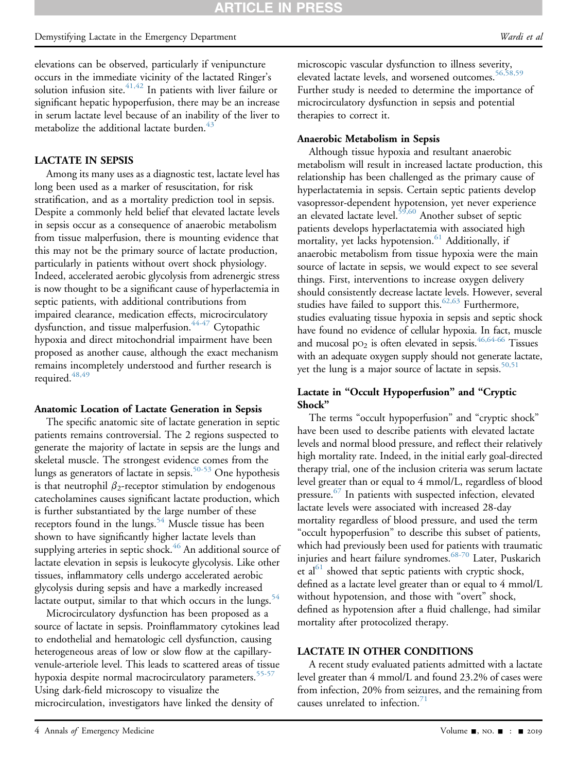## Demystifying Lactate in the Emergency Department and the state of the state of the Wardi et al.

elevations can be observed, particularly if venipuncture occurs in the immediate vicinity of the lactated Ringer's solution infusion site. $41,42$  In patients with liver failure or significant hepatic hypoperfusion, there may be an increase in serum lactate level because of an inability of the liver to metabolize the additional lactate burden.<sup>4</sup>

#### LACTATE IN SEPSIS

Among its many uses as a diagnostic test, lactate level has long been used as a marker of resuscitation, for risk stratification, and as a mortality prediction tool in sepsis. Despite a commonly held belief that elevated lactate levels in sepsis occur as a consequence of anaerobic metabolism from tissue malperfusion, there is mounting evidence that this may not be the primary source of lactate production, particularly in patients without overt shock physiology. Indeed, accelerated aerobic glycolysis from adrenergic stress is now thought to be a significant cause of hyperlactemia in septic patients, with additional contributions from impaired clearance, medication effects, microcirculatory dysfunction, and tissue malperfusion.<sup>44-47</sup> Cytopathic hypoxia and direct mitochondrial impairment have been proposed as another cause, although the exact mechanism remains incompletely understood and further research is required. $48$ ,

#### Anatomic Location of Lactate Generation in Sepsis

The specific anatomic site of lactate generation in septic patients remains controversial. The 2 regions suspected to generate the majority of lactate in sepsis are the lungs and skeletal muscle. The strongest evidence comes from the lungs as generators of lactate in sepsis.<sup>[50-53](#page-9-19)</sup> One hypothesis is that neutrophil  $\beta_2$ -receptor stimulation by endogenous catecholamines causes significant lactate production, which is further substantiated by the large number of these receptors found in the lungs.<sup>[54](#page-9-20)</sup> Muscle tissue has been shown to have significantly higher lactate levels than supplying arteries in septic shock.<sup>46</sup> An additional source of lactate elevation in sepsis is leukocyte glycolysis. Like other tissues, inflammatory cells undergo accelerated aerobic glycolysis during sepsis and have a markedly increased lactate output, similar to that which occurs in the lungs.<sup>54</sup>

Microcirculatory dysfunction has been proposed as a source of lactate in sepsis. Proinflammatory cytokines lead to endothelial and hematologic cell dysfunction, causing heterogeneous areas of low or slow flow at the capillaryvenule-arteriole level. This leads to scattered areas of tissue hypoxia despite normal macrocirculatory parameters.<sup>[55-57](#page-9-22)</sup> Using dark-field microscopy to visualize the microcirculation, investigators have linked the density of

microscopic vascular dysfunction to illness severity, elevated lactate levels, and worsened outcomes.<sup>56,58,59</sup> Further study is needed to determine the importance of microcirculatory dysfunction in sepsis and potential therapies to correct it.

#### Anaerobic Metabolism in Sepsis

Although tissue hypoxia and resultant anaerobic metabolism will result in increased lactate production, this relationship has been challenged as the primary cause of hyperlactatemia in sepsis. Certain septic patients develop vasopressor-dependent hypotension, yet never experience an elevated lactate level. $59,60$  Another subset of septic patients develops hyperlactatemia with associated high mortality, yet lacks hypotension. $61$  Additionally, if anaerobic metabolism from tissue hypoxia were the main source of lactate in sepsis, we would expect to see several things. First, interventions to increase oxygen delivery should consistently decrease lactate levels. However, several studies have failed to support this.<sup>[62,63](#page-10-1)</sup> Furthermore, studies evaluating tissue hypoxia in sepsis and septic shock have found no evidence of cellular hypoxia. In fact, muscle and mucosal  $po_2$  is often elevated in sepsis.<sup>[46,64-66](#page-9-21)</sup> Tissues with an adequate oxygen supply should not generate lactate, yet the lung is a major source of lactate in sepsis. $50,51$ 

# Lactate in "Occult Hypoperfusion" and "Cryptic Shock"

The terms "occult hypoperfusion" and "cryptic shock" have been used to describe patients with elevated lactate levels and normal blood pressure, and reflect their relatively high mortality rate. Indeed, in the initial early goal-directed therapy trial, one of the inclusion criteria was serum lactate level greater than or equal to 4 mmol/L, regardless of blood pressure.<sup>67</sup> In patients with suspected infection, elevated lactate levels were associated with increased 28-day mortality regardless of blood pressure, and used the term "occult hypoperfusion" to describe this subset of patients, which had previously been used for patients with traumatic injuries and heart failure syndromes[.68-70](#page-10-3) Later, Puskarich et al<sup>[61](#page-10-0)</sup> showed that septic patients with cryptic shock, defined as a lactate level greater than or equal to 4 mmol/L without hypotension, and those with "overt" shock, defined as hypotension after a fluid challenge, had similar mortality after protocolized therapy.

#### LACTATE IN OTHER CONDITIONS

A recent study evaluated patients admitted with a lactate level greater than 4 mmol/L and found 23.2% of cases were from infection, 20% from seizures, and the remaining from causes unrelated to infection. $71$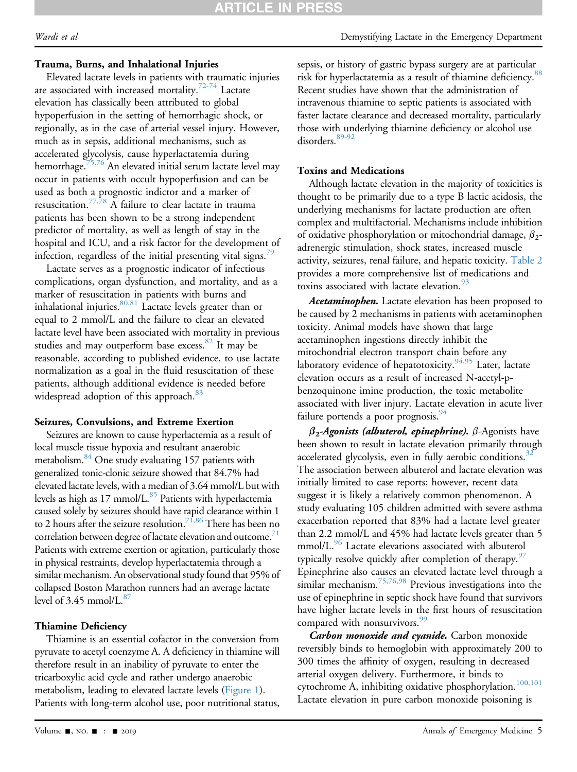# Trauma, Burns, and Inhalational Injuries

Elevated lactate levels in patients with traumatic injuries are associated with increased mortality.<sup>72-74</sup> Lactate elevation has classically been attributed to global hypoperfusion in the setting of hemorrhagic shock, or regionally, as in the case of arterial vessel injury. However, much as in sepsis, additional mechanisms, such as accelerated glycolysis, cause hyperlactatemia during hemorrhage.<sup>[75,76](#page-10-6)</sup> An elevated initial serum lactate level may occur in patients with occult hypoperfusion and can be used as both a prognostic indictor and a marker of resuscitation.<sup>[77,78](#page-10-7)</sup> A failure to clear lactate in trauma patients has been shown to be a strong independent predictor of mortality, as well as length of stay in the hospital and ICU, and a risk factor for the development of infection, regardless of the initial presenting vital signs.<sup>75</sup>

Lactate serves as a prognostic indicator of infectious complications, organ dysfunction, and mortality, and as a marker of resuscitation in patients with burns and inhalational injuries. $80,81$  Lactate levels greater than or equal to 2 mmol/L and the failure to clear an elevated lactate level have been associated with mortality in previous studies and may outperform base excess. $82$  It may be reasonable, according to published evidence, to use lactate normalization as a goal in the fluid resuscitation of these patients, although additional evidence is needed before widespread adoption of this approach.<sup>[83](#page-10-11)</sup>

#### Seizures, Convulsions, and Extreme Exertion

Seizures are known to cause hyperlactemia as a result of local muscle tissue hypoxia and resultant anaerobic metabolism[.84](#page-10-12) One study evaluating 157 patients with generalized tonic-clonic seizure showed that 84.7% had elevated lactate levels, with a median of 3.64 mmol/L but with levels as high as 17 mmol/L.<sup>85</sup> Patients with hyperlactemia caused solely by seizures should have rapid clearance within 1 to 2 hours after the seizure resolution.<sup>71,86</sup> There has been no correlation between degree of lactate elevation and outcome.<sup>71</sup> Patients with extreme exertion or agitation, particularly those in physical restraints, develop hyperlactatemia through a similar mechanism. An observational study found that 95% of collapsed Boston Marathon runners had an average lactate level of  $3.45$  mmol/L. $87$ 

# Thiamine Deficiency

Thiamine is an essential cofactor in the conversion from pyruvate to acetyl coenzyme A. A deficiency in thiamine will therefore result in an inability of pyruvate to enter the tricarboxylic acid cycle and rather undergo anaerobic metabolism, leading to elevated lactate levels ([Figure 1\)](#page-1-0). Patients with long-term alcohol use, poor nutritional status, sepsis, or history of gastric bypass surgery are at particular risk for hyperlactatemia as a result of thiamine deficiency.<sup>[88](#page-10-15)</sup> Recent studies have shown that the administration of intravenous thiamine to septic patients is associated with faster lactate clearance and decreased mortality, particularly those with underlying thiamine deficiency or alcohol use disorders.<sup>89-92</sup>

# Toxins and Medications

Although lactate elevation in the majority of toxicities is thought to be primarily due to a type B lactic acidosis, the underlying mechanisms for lactate production are often complex and multifactorial. Mechanisms include inhibition of oxidative phosphorylation or mitochondrial damage,  $\beta_2$ adrenergic stimulation, shock states, increased muscle activity, seizures, renal failure, and hepatic toxicity. [Table 2](#page-5-0) provides a more comprehensive list of medications and toxins associated with lactate elevation.<sup>[93](#page-10-17)</sup>

Acetaminophen. Lactate elevation has been proposed to be caused by 2 mechanisms in patients with acetaminophen toxicity. Animal models have shown that large acetaminophen ingestions directly inhibit the mitochondrial electron transport chain before any laboratory evidence of hepatotoxicity.<sup>94,95</sup> Later, lactate elevation occurs as a result of increased N-acetyl-pbenzoquinone imine production, the toxic metabolite associated with liver injury. Lactate elevation in acute liver failure portends a poor prognosis.<sup>94</sup>

 $\beta_2$ -Agonists (albuterol, epinephrine).  $\beta$ -Agonists have been shown to result in lactate elevation primarily through accelerated glycolysis, even in fully aerobic conditions.<sup>32</sup> The association between albuterol and lactate elevation was initially limited to case reports; however, recent data suggest it is likely a relatively common phenomenon. A study evaluating 105 children admitted with severe asthma exacerbation reported that 83% had a lactate level greater than 2.2 mmol/L and 45% had lactate levels greater than 5 mmol/L.<sup>[96](#page-10-19)</sup> Lactate elevations associated with albuterol typically resolve quickly after completion of therapy.  $97$ Epinephrine also causes an elevated lactate level through a similar mechanism.<sup>[75,76,98](#page-10-6)</sup> Previous investigations into the use of epinephrine in septic shock have found that survivors have higher lactate levels in the first hours of resuscitation compared with nonsurvivors.<sup>99</sup>

Carbon monoxide and cyanide. Carbon monoxide reversibly binds to hemoglobin with approximately 200 to 300 times the affinity of oxygen, resulting in decreased arterial oxygen delivery. Furthermore, it binds to cytochrome A, inhibiting oxidative phosphorylation.<sup>[100,101](#page-10-22)</sup> Lactate elevation in pure carbon monoxide poisoning is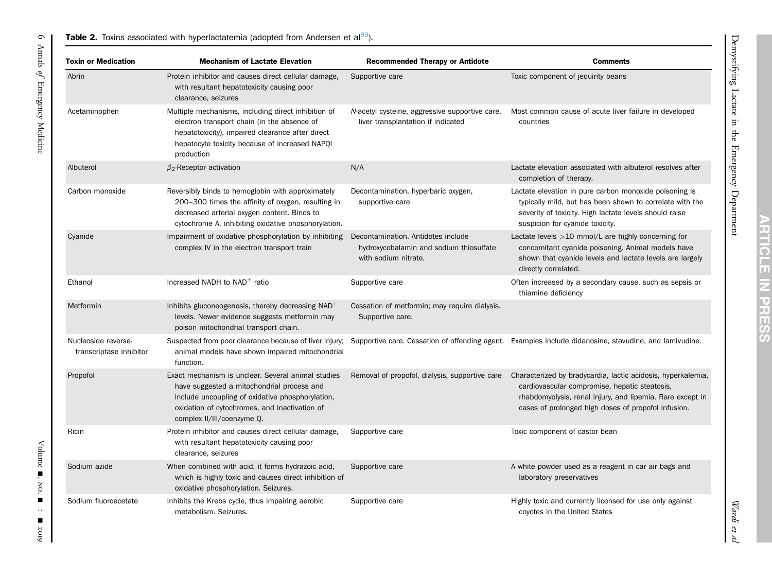## **Table 2.** Toxins associated with hyperlactatemia (adopted from Andersen et al $^{93}$  $^{93}$  $^{93}$ ).

<span id="page-5-0"></span>

| <b>Toxin or Medication</b>                     | <b>Mechanism of Lactate Elevation</b>                                                                                                                                                                                               | <b>Recommended Therapy or Antidote</b>                                                                | <b>Comments</b>                                                                                                                                                                                                                   |
|------------------------------------------------|-------------------------------------------------------------------------------------------------------------------------------------------------------------------------------------------------------------------------------------|-------------------------------------------------------------------------------------------------------|-----------------------------------------------------------------------------------------------------------------------------------------------------------------------------------------------------------------------------------|
| Abrin                                          | Protein inhibitor and causes direct cellular damage,<br>with resultant hepatotoxicity causing poor<br>clearance, seizures                                                                                                           | Supportive care                                                                                       | Toxic component of jequirity beans                                                                                                                                                                                                |
| Acetaminophen                                  | Multiple mechanisms, including direct inhibition of<br>electron transport chain (in the absence of<br>hepatotoxicity), impaired clearance after direct<br>hepatocyte toxicity because of increased NAPQI<br>production              | N-acetyl cysteine, aggressive supportive care,<br>liver transplantation if indicated                  | Most common cause of acute liver failure in developed<br>countries                                                                                                                                                                |
| Albuterol                                      | $\beta$ <sub>2</sub> -Receptor activation                                                                                                                                                                                           | N/A                                                                                                   | Lactate elevation associated with albuterol resolves after<br>completion of therapy.                                                                                                                                              |
| Carbon monoxide                                | Reversibly binds to hemoglobin with approximately<br>200-300 times the affinity of oxygen, resulting in<br>decreased arterial oxygen content. Binds to<br>cytochrome A, inhibiting oxidative phosphorylation.                       | Decontamination, hyperbaric oxygen,<br>supportive care                                                | Lactate elevation in pure carbon monoxide poisoning is<br>typically mild, but has been shown to correlate with the<br>severity of toxicity. High lactate levels should raise<br>suspicion for cyanide toxicity.                   |
| Cyanide                                        | Impairment of oxidative phosphorylation by inhibiting<br>complex IV in the electron transport train                                                                                                                                 | Decontamination. Antidotes include<br>hydroxycobalamin and sodium thiosulfate<br>with sodium nitrate. | Lactate levels $>10$ mmol/L are highly concerning for<br>concomitant cyanide poisoning. Animal models have<br>shown that cyanide levels and lactate levels are largely<br>directly correlated.                                    |
| Ethanol                                        | Increased NADH to NAD <sup>+</sup> ratio                                                                                                                                                                                            | Supportive care                                                                                       | Often increased by a secondary cause, such as sepsis or<br>thiamine deficiency                                                                                                                                                    |
| Metformin                                      | Inhibits gluconeogenesis, thereby decreasing $NAD+$<br>levels. Newer evidence suggests metformin may<br>poison mitochondrial transport chain.                                                                                       | Cessation of metformin; may require dialysis.<br>Supportive care.                                     |                                                                                                                                                                                                                                   |
| Nucleoside reverse-<br>transcriptase inhibitor | animal models have shown impaired mitochondrial<br>function.                                                                                                                                                                        |                                                                                                       | Suspected from poor clearance because of liver injury; Supportive care. Cessation of offending agent. Examples include didanosine, stavudine, and lamivudine.                                                                     |
| Propofol                                       | Exact mechanism is unclear. Several animal studies<br>have suggested a mitochondrial process and<br>include uncoupling of oxidative phosphorylation,<br>oxidation of cytochromes, and inactivation of<br>complex II/III/coenzyme Q. | Removal of propofol, dialysis, supportive care                                                        | Characterized by bradycardia, lactic acidosis, hyperkalemia,<br>cardiovascular compromise, hepatic steatosis,<br>rhabdomyolysis, renal injury, and lipemia. Rare except in<br>cases of prolonged high doses of propofol infusion. |
| Ricin                                          | Protein inhibitor and causes direct cellular damage,<br>with resultant hepatotoxicity causing poor<br>clearance, seizures                                                                                                           | Supportive care                                                                                       | Toxic component of castor bean                                                                                                                                                                                                    |
| Sodium azide                                   | When combined with acid, it forms hydrazoic acid,<br>which is highly toxic and causes direct inhibition of<br>oxidative phosphorylation. Seizures.                                                                                  | Supportive care                                                                                       | A white powder used as a reagent in car air bags and<br>laboratory preservatives                                                                                                                                                  |
| Sodium fluoroacetate                           | Inhibits the Krebs cycle, thus impairing aerobic<br>metabolism. Seizures.                                                                                                                                                           | Supportive care                                                                                       | Highly toxic and currently licensed for use only against<br>coyotes in the United States                                                                                                                                          |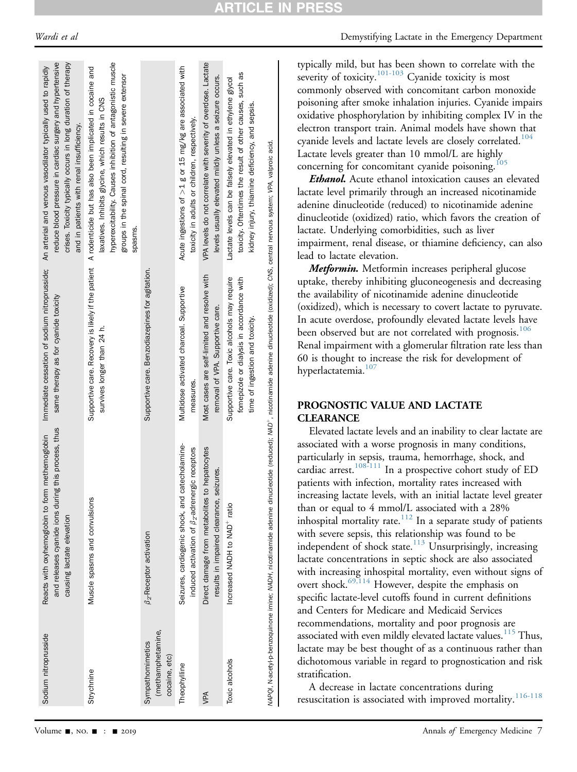| <b>ARTICLE IN PRESS</b> |
|-------------------------|
|-------------------------|

| Sodium nitroprusside                                   | and releases cyanide ions during this process, thus<br>Reacts with oxyhemoglobin to form methemoglobin<br>causing lactate elevation                                                           | same therapy as for cyanide toxicity                                                                                        | reduce blood pressure in cardiac surgery and hypertensive<br>crises. Toxicity typically occurs in long duration of therapy<br>Immediate cessation of sodium nitroprusside; An arterial and venous vasodilator typically used to rapidly<br>and in patients with renal insufficiency.                   |
|--------------------------------------------------------|-----------------------------------------------------------------------------------------------------------------------------------------------------------------------------------------------|-----------------------------------------------------------------------------------------------------------------------------|--------------------------------------------------------------------------------------------------------------------------------------------------------------------------------------------------------------------------------------------------------------------------------------------------------|
| Strychnine                                             | Muscle spasms and convulsions                                                                                                                                                                 | survives longer than 24 h.                                                                                                  | hyperexcitability. Causes inhibition of antagonistic muscle<br>Supportive care. Recovery is likely if the patient A rodenticide but has also been implicated in cocaine and<br>groups in the spinal cord, resulting in severe extensor<br>laxatives. Inhibits glycine, which results in CNS<br>spasms. |
| (methamphetamine,<br>Sympathomimetics<br>cocaine, etc) | $\beta_2$ -Receptor activation                                                                                                                                                                | Supportive care. Benzodiazepines for agitation.                                                                             |                                                                                                                                                                                                                                                                                                        |
| Theophylline                                           | Seizures, cardiogenic shock, and catecholamine-<br>induced activation of $\beta_2$ -adrenergic receptors                                                                                      | Multidose activated charcoal. Supportive<br>measures.                                                                       | Acute ingestions of $>1$ g or 15 mg/kg are associated with<br>toxicity in adults or children, respectively.                                                                                                                                                                                            |
| VPA                                                    | Direct damage from metabolites to hepatocytes<br>seizures.<br>results in impaired clearance,                                                                                                  | Most cases are self-limited and resolve with<br>removal of VPA. Supportive care.                                            | VPA levels do not correlate with severity of overdose. Lactate<br>levels usually elevated mildly unless a seizure occurs.                                                                                                                                                                              |
| Toxic alcohols                                         | Increased NADH to NAD <sup>+</sup> ratio                                                                                                                                                      | Supportive care. Toxic alcohols may require<br>fomepizole or dialysis in accordance with<br>time of ingestion and toxicity. | toxicity. Oftentimes the result of other causes, such as<br>Lactate levels can be falsely elevated in ethylene glycol<br>kidney injury, thiamine deficiency, and sepsis.                                                                                                                               |
|                                                        | MAPQI, N-acetyl-p-benzoquinone imine; MADH, nicotinamide adenine dinucleotide (reduced); MAD+, nicotinamide adenine dinucleotide (oxidized); CNS, central nervous system; VPA, valproic acid. |                                                                                                                             |                                                                                                                                                                                                                                                                                                        |

typically mild, but has been shown to correlate with the severity of toxicity.<sup>101-103</sup> Cyanide toxicity is most commonly observed with concomitant carbon monoxide poisoning after smoke inhalation injuries. Cyanide impairs oxidative phosphorylation by inhibiting complex IV in the electron transport train. Animal models have shown that cyanide levels and lactate levels are closely correlated.<sup>104</sup> Lactate levels greater than 10 mmol/L are highly concerning for concomitant cyanide poisoning.<sup>[105](#page-11-1)</sup>

**Ethanol.** Acute ethanol intoxication causes an elevated lactate level primarily through an increased nicotinamide adenine dinucleotide (reduced) to nicotinamide adenine dinucleotide (oxidized) ratio, which favors the creation of lactate. Underlying comorbidities, such as liver impairment, renal disease, or thiamine deficiency, can also lead to lactate elevation.

Metformin. Metformin increases peripheral glucose uptake, thereby inhibiting gluconeogenesis and decreasing the availability of nicotinamide adenine dinucleotide (oxidized), which is necessary to covert lactate to pyruvate. In acute overdose, profoundly elevated lactate levels have been observed but are not correlated with prognosis.<sup>106</sup> Renal impairment with a glomerular filtration rate less than 60 is thought to increase the risk for development of hyperlactatemia.<sup>107</sup>

# PROGNOSTIC VALUE AND LACTATE **CLEARANCE**

Elevated lactate levels and an inability to clear lactate are associated with a worse prognosis in many conditions, particularly in sepsis, trauma, hemorrhage, shock, and cardiac arrest.<sup>[108-111](#page-11-4)</sup> In a prospective cohort study of ED patients with infection, mortality rates increased with increasing lactate levels, with an initial lactate level greater than or equal to 4 mmol/L associated with a 28% inhospital mortality rate.<sup>[112](#page-11-5)</sup> In a separate study of patients with severe sepsis, this relationship was found to be independent of shock state.<sup>[113](#page-11-6)</sup> Unsurprisingly, increasing lactate concentrations in septic shock are also associated with increasing inhospital mortality, even without signs of overt shock.[69,114](#page-10-25) However, despite the emphasis on specific lactate-level cutoffs found in current definitions and Centers for Medicare and Medicaid Services recommendations, mortality and poor prognosis are associated with even mildly elevated lactate values.<sup>[115](#page-11-7)</sup> Thus, lactate may be best thought of as a continuous rather than dichotomous variable in regard to prognostication and risk stratification.

A decrease in lactate concentrations during resuscitation is associated with improved mortality.[116-118](#page-11-8)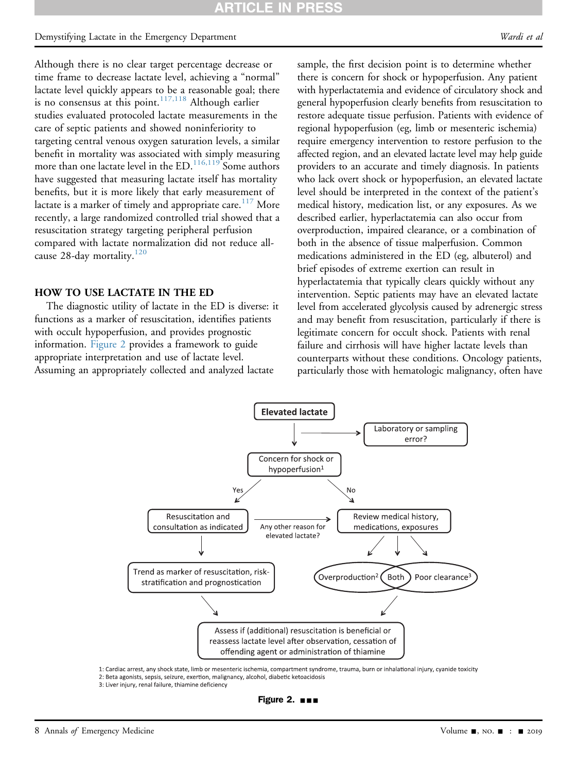# Demystifying Lactate in the Emergency Department and the state of the state of the Wardi et al.

Although there is no clear target percentage decrease or time frame to decrease lactate level, achieving a "normal" lactate level quickly appears to be a reasonable goal; there is no consensus at this point. $117,118$  Although earlier studies evaluated protocoled lactate measurements in the care of septic patients and showed noninferiority to targeting central venous oxygen saturation levels, a similar benefit in mortality was associated with simply measuring more than one lactate level in the ED.<sup>[116,119](#page-11-8)</sup> Some authors have suggested that measuring lactate itself has mortality benefits, but it is more likely that early measurement of lactate is a marker of timely and appropriate care.<sup>[117](#page-11-9)</sup> More recently, a large randomized controlled trial showed that a resuscitation strategy targeting peripheral perfusion compared with lactate normalization did not reduce all-cause 28-day mortality.<sup>[120](#page-11-10)</sup>

#### HOW TO USE LACTATE IN THE ED

<span id="page-7-0"></span>The diagnostic utility of lactate in the ED is diverse: it functions as a marker of resuscitation, identifies patients with occult hypoperfusion, and provides prognostic information. [Figure 2](#page-7-0) provides a framework to guide appropriate interpretation and use of lactate level. Assuming an appropriately collected and analyzed lactate

sample, the first decision point is to determine whether there is concern for shock or hypoperfusion. Any patient with hyperlactatemia and evidence of circulatory shock and general hypoperfusion clearly benefits from resuscitation to restore adequate tissue perfusion. Patients with evidence of regional hypoperfusion (eg, limb or mesenteric ischemia) require emergency intervention to restore perfusion to the affected region, and an elevated lactate level may help guide providers to an accurate and timely diagnosis. In patients who lack overt shock or hypoperfusion, an elevated lactate level should be interpreted in the context of the patient's medical history, medication list, or any exposures. As we described earlier, hyperlactatemia can also occur from overproduction, impaired clearance, or a combination of both in the absence of tissue malperfusion. Common medications administered in the ED (eg, albuterol) and brief episodes of extreme exertion can result in hyperlactatemia that typically clears quickly without any intervention. Septic patients may have an elevated lactate level from accelerated glycolysis caused by adrenergic stress and may benefit from resuscitation, particularly if there is legitimate concern for occult shock. Patients with renal failure and cirrhosis will have higher lactate levels than counterparts without these conditions. Oncology patients, particularly those with hematologic malignancy, often have



1: Cardiac arrest, any shock state, limb or mesenteric ischemia, compartment syndrome, trauma, burn or inhalational injury, cyanide toxicity 2: Beta agonists, sepsis, seizure, exertion, malignancy, alcohol, diabetic ketoacidosis

3: Liver injury, renal failure, thiamine deficiency

Figure 2.  $\blacksquare$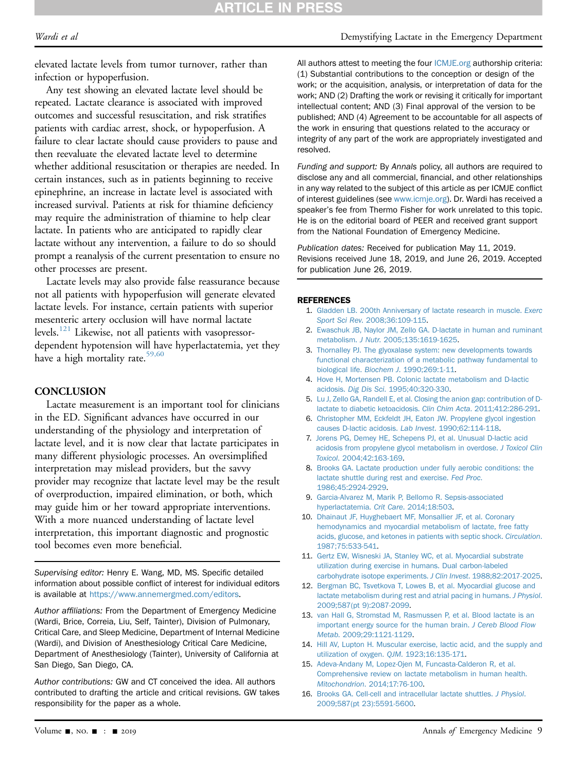elevated lactate levels from tumor turnover, rather than infection or hypoperfusion.

Any test showing an elevated lactate level should be repeated. Lactate clearance is associated with improved outcomes and successful resuscitation, and risk stratifies patients with cardiac arrest, shock, or hypoperfusion. A failure to clear lactate should cause providers to pause and then reevaluate the elevated lactate level to determine whether additional resuscitation or therapies are needed. In certain instances, such as in patients beginning to receive epinephrine, an increase in lactate level is associated with increased survival. Patients at risk for thiamine deficiency may require the administration of thiamine to help clear lactate. In patients who are anticipated to rapidly clear lactate without any intervention, a failure to do so should prompt a reanalysis of the current presentation to ensure no other processes are present.

Lactate levels may also provide false reassurance because not all patients with hypoperfusion will generate elevated lactate levels. For instance, certain patients with superior mesenteric artery occlusion will have normal lactate levels.<sup>[121](#page-11-11)</sup> Likewise, not all patients with vasopressordependent hypotension will have hyperlactatemia, yet they have a high mortality rate.<sup>59,60</sup>

#### **CONCLUSION**

Lactate measurement is an important tool for clinicians in the ED. Significant advances have occurred in our understanding of the physiology and interpretation of lactate level, and it is now clear that lactate participates in many different physiologic processes. An oversimplified interpretation may mislead providers, but the savvy provider may recognize that lactate level may be the result of overproduction, impaired elimination, or both, which may guide him or her toward appropriate interventions. With a more nuanced understanding of lactate level interpretation, this important diagnostic and prognostic tool becomes even more beneficial.

Supervising editor: Henry E. Wang, MD, MS. Specific detailed information about possible conflict of interest for individual editors is available at <https://www.annemergmed.com/editors>.

Author affiliations: From the Department of Emergency Medicine (Wardi, Brice, Correia, Liu, Self, Tainter), Division of Pulmonary, Critical Care, and Sleep Medicine, Department of Internal Medicine (Wardi), and Division of Anesthesiology Critical Care Medicine, Department of Anesthesiology (Tainter), University of California at San Diego, San Diego, CA.

Author contributions: GW and CT conceived the idea. All authors contributed to drafting the article and critical revisions. GW takes responsibility for the paper as a whole.

#### Wardi et al **Wardi et al** Demystifying Lactate in the Emergency Department

All authors attest to meeting the four [ICMJE.org](http://ICMJE.org) authorship criteria: (1) Substantial contributions to the conception or design of the work; or the acquisition, analysis, or interpretation of data for the work; AND (2) Drafting the work or revising it critically for important intellectual content; AND (3) Final approval of the version to be published; AND (4) Agreement to be accountable for all aspects of the work in ensuring that questions related to the accuracy or integrity of any part of the work are appropriately investigated and resolved.

Funding and support: By Annals policy, all authors are required to disclose any and all commercial, financial, and other relationships in any way related to the subject of this article as per ICMJE conflict of interest guidelines (see [www.icmje.org](http://www.icmje.org)). Dr. Wardi has received a speaker's fee from Thermo Fisher for work unrelated to this topic. He is on the editorial board of PEER and received grant support from the National Foundation of Emergency Medicine.

Publication dates: Received for publication May 11, 2019. Revisions received June 18, 2019, and June 26, 2019. Accepted for publication June 26, 2019.

#### <span id="page-8-0"></span>**REFERENCES**

- 1. [Gladden LB. 200th Anniversary of lactate research in muscle.](http://refhub.elsevier.com/S0196-0644(19)30537-2/sref1) Exerc Sport Sci Rev[. 2008;36:109-115](http://refhub.elsevier.com/S0196-0644(19)30537-2/sref1).
- <span id="page-8-1"></span>2. [Ewaschuk JB, Naylor JM, Zello GA. D-lactate in human and ruminant](http://refhub.elsevier.com/S0196-0644(19)30537-2/sref2) metabolism. J Nutr[. 2005;135:1619-1625.](http://refhub.elsevier.com/S0196-0644(19)30537-2/sref2)
- <span id="page-8-2"></span>3. [Thornalley PJ. The glyoxalase system: new developments towards](http://refhub.elsevier.com/S0196-0644(19)30537-2/sref3) [functional characterization of a metabolic pathway fundamental to](http://refhub.elsevier.com/S0196-0644(19)30537-2/sref3) biological life. Biochem J[. 1990;269:1-11](http://refhub.elsevier.com/S0196-0644(19)30537-2/sref3).
- <span id="page-8-3"></span>4. [Hove H, Mortensen PB. Colonic lactate metabolism and D-lactic](http://refhub.elsevier.com/S0196-0644(19)30537-2/sref4) acidosis. Dig Dis Sci[. 1995;40:320-330.](http://refhub.elsevier.com/S0196-0644(19)30537-2/sref4)
- 5. [Lu J, Zello GA, Randell E, et al. Closing the anion gap: contribution of D](http://refhub.elsevier.com/S0196-0644(19)30537-2/sref5)[lactate to diabetic ketoacidosis.](http://refhub.elsevier.com/S0196-0644(19)30537-2/sref5) Clin Chim Acta. 2011;412:286-291.
- 6. [Christopher MM, Eckfeldt JH, Eaton JW. Propylene glycol ingestion](http://refhub.elsevier.com/S0196-0644(19)30537-2/sref6) [causes D-lactic acidosis.](http://refhub.elsevier.com/S0196-0644(19)30537-2/sref6) Lab Invest. 1990;62:114-118.
- 7. [Jorens PG, Demey HE, Schepens PJ, et al. Unusual D-lactic acid](http://refhub.elsevier.com/S0196-0644(19)30537-2/sref7) [acidosis from propylene glycol metabolism in overdose.](http://refhub.elsevier.com/S0196-0644(19)30537-2/sref7) J Toxicol Clin Toxicol[. 2004;42:163-169](http://refhub.elsevier.com/S0196-0644(19)30537-2/sref7).
- <span id="page-8-4"></span>8. [Brooks GA. Lactate production under fully aerobic conditions: the](http://refhub.elsevier.com/S0196-0644(19)30537-2/sref8) [lactate shuttle during rest and exercise.](http://refhub.elsevier.com/S0196-0644(19)30537-2/sref8) Fed Proc. [1986;45:2924-2929.](http://refhub.elsevier.com/S0196-0644(19)30537-2/sref8)
- <span id="page-8-5"></span>9. [Garcia-Alvarez M, Marik P, Bellomo R. Sepsis-associated](http://refhub.elsevier.com/S0196-0644(19)30537-2/sref9) [hyperlactatemia.](http://refhub.elsevier.com/S0196-0644(19)30537-2/sref9) Crit Care. 2014;18:503.
- 10. [Dhainaut JF, Huyghebaert MF, Monsallier JF, et al. Coronary](http://refhub.elsevier.com/S0196-0644(19)30537-2/sref10) [hemodynamics and myocardial metabolism of lactate, free fatty](http://refhub.elsevier.com/S0196-0644(19)30537-2/sref10) [acids, glucose, and ketones in patients with septic shock.](http://refhub.elsevier.com/S0196-0644(19)30537-2/sref10) Circulation. [1987;75:533-541](http://refhub.elsevier.com/S0196-0644(19)30537-2/sref10).
- <span id="page-8-6"></span>11. [Gertz EW, Wisneski JA, Stanley WC, et al. Myocardial substrate](http://refhub.elsevier.com/S0196-0644(19)30537-2/sref11) [utilization during exercise in humans. Dual carbon-labeled](http://refhub.elsevier.com/S0196-0644(19)30537-2/sref11) [carbohydrate isotope experiments.](http://refhub.elsevier.com/S0196-0644(19)30537-2/sref11) J Clin Invest. 1988;82:2017-2025.
- 12. [Bergman BC, Tsvetkova T, Lowes B, et al. Myocardial glucose and](http://refhub.elsevier.com/S0196-0644(19)30537-2/sref12) [lactate metabolism during rest and atrial pacing in humans.](http://refhub.elsevier.com/S0196-0644(19)30537-2/sref12) J Physiol. [2009;587\(pt 9\):2087-2099](http://refhub.elsevier.com/S0196-0644(19)30537-2/sref12).
- <span id="page-8-7"></span>13. [van Hall G, Stromstad M, Rasmussen P, et al. Blood lactate is an](http://refhub.elsevier.com/S0196-0644(19)30537-2/sref13) [important energy source for the human brain.](http://refhub.elsevier.com/S0196-0644(19)30537-2/sref13) J Cereb Blood Flow Metab[. 2009;29:1121-1129.](http://refhub.elsevier.com/S0196-0644(19)30537-2/sref13)
- <span id="page-8-8"></span>14. [Hill AV, Lupton H. Muscular exercise, lactic acid, and the supply and](http://refhub.elsevier.com/S0196-0644(19)30537-2/sref14) [utilization of oxygen.](http://refhub.elsevier.com/S0196-0644(19)30537-2/sref14) QJM. 1923;16:135-171.
- <span id="page-8-9"></span>15. [Adeva-Andany M, Lopez-Ojen M, Funcasta-Calderon R, et al.](http://refhub.elsevier.com/S0196-0644(19)30537-2/sref15) [Comprehensive review on lactate metabolism in human health.](http://refhub.elsevier.com/S0196-0644(19)30537-2/sref15) Mitochondrion[. 2014;17:76-100.](http://refhub.elsevier.com/S0196-0644(19)30537-2/sref15)
- <span id="page-8-10"></span>16. [Brooks GA. Cell-cell and intracellular lactate shuttles.](http://refhub.elsevier.com/S0196-0644(19)30537-2/sref16) J Physiol. [2009;587\(pt 23\):5591-5600.](http://refhub.elsevier.com/S0196-0644(19)30537-2/sref16)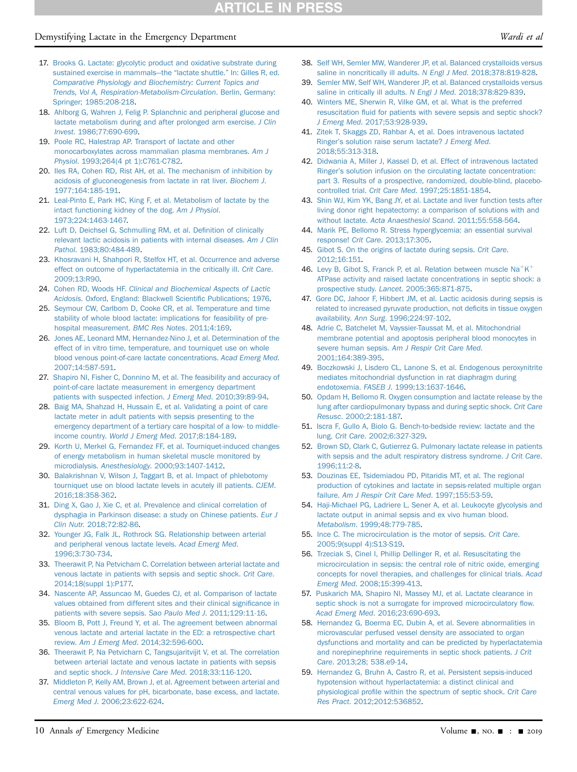# **RTICLE IN PR**

# Demystifying Lactate in the Emergency Department and the state of the United States of the Wardi et al.

- <span id="page-9-0"></span>17. [Brooks G. Lactate: glycolytic product and oxidative substrate during](http://refhub.elsevier.com/S0196-0644(19)30537-2/sref17) [sustained exercise in mammals](http://refhub.elsevier.com/S0196-0644(19)30537-2/sref17)—the "lactate shuttle." [In: Gilles R, ed.](http://refhub.elsevier.com/S0196-0644(19)30537-2/sref17) [Comparative Physiology and Biochemistry: Current Topics and](http://refhub.elsevier.com/S0196-0644(19)30537-2/sref17) [Trends, Vol A, Respiration-Metabolism-Circulation](http://refhub.elsevier.com/S0196-0644(19)30537-2/sref17). Berlin, Germany: [Springer; 1985:208-218](http://refhub.elsevier.com/S0196-0644(19)30537-2/sref17).
- <span id="page-9-1"></span>18. [Ahlborg G, Wahren J, Felig P. Splanchnic and peripheral glucose and](http://refhub.elsevier.com/S0196-0644(19)30537-2/sref18) [lactate metabolism during and after prolonged arm exercise.](http://refhub.elsevier.com/S0196-0644(19)30537-2/sref18) J Clin Invest[. 1986;77:690-699.](http://refhub.elsevier.com/S0196-0644(19)30537-2/sref18)
- <span id="page-9-2"></span>19. [Poole RC, Halestrap AP. Transport of lactate and other](http://refhub.elsevier.com/S0196-0644(19)30537-2/sref19) [monocarboxylates across mammalian plasma membranes.](http://refhub.elsevier.com/S0196-0644(19)30537-2/sref19) Am J Physiol[. 1993;264\(4 pt 1\):C761-C782.](http://refhub.elsevier.com/S0196-0644(19)30537-2/sref19)
- <span id="page-9-3"></span>20. [Iles RA, Cohen RD, Rist AH, et al. The mechanism of inhibition by](http://refhub.elsevier.com/S0196-0644(19)30537-2/sref20) [acidosis of gluconeogenesis from lactate in rat liver.](http://refhub.elsevier.com/S0196-0644(19)30537-2/sref20) Biochem J. [1977;164:185-191](http://refhub.elsevier.com/S0196-0644(19)30537-2/sref20).
- <span id="page-9-4"></span>21. [Leal-Pinto E, Park HC, King F, et al. Metabolism of lactate by the](http://refhub.elsevier.com/S0196-0644(19)30537-2/sref21) [intact functioning kidney of the dog.](http://refhub.elsevier.com/S0196-0644(19)30537-2/sref21) Am J Physiol. [1973;224:1463-1467.](http://refhub.elsevier.com/S0196-0644(19)30537-2/sref21)
- <span id="page-9-5"></span>22. [Luft D, Deichsel G, Schmulling RM, et al. De](http://refhub.elsevier.com/S0196-0644(19)30537-2/sref22)finition of clinically [relevant lactic acidosis in patients with internal diseases.](http://refhub.elsevier.com/S0196-0644(19)30537-2/sref22) Am J Clin Pathol[. 1983;80:484-489](http://refhub.elsevier.com/S0196-0644(19)30537-2/sref22).
- <span id="page-9-6"></span>23. [Khosravani H, Shahpori R, Stelfox HT, et al. Occurrence and adverse](http://refhub.elsevier.com/S0196-0644(19)30537-2/sref23) [effect on outcome of hyperlactatemia in the critically ill.](http://refhub.elsevier.com/S0196-0644(19)30537-2/sref23) Crit Care. [2009;13:R90.](http://refhub.elsevier.com/S0196-0644(19)30537-2/sref23)
- <span id="page-9-7"></span>24. Cohen RD, Woods HF. [Clinical and Biochemical Aspects of Lactic](http://refhub.elsevier.com/S0196-0644(19)30537-2/sref24) Acidosis[. Oxford, England: Blackwell Scienti](http://refhub.elsevier.com/S0196-0644(19)30537-2/sref24)fic Publications; 1976.
- <span id="page-9-8"></span>25. [Seymour CW, Carlbom D, Cooke CR, et al. Temperature and time](http://refhub.elsevier.com/S0196-0644(19)30537-2/sref25) [stability of whole blood lactate: implications for feasibility of pre](http://refhub.elsevier.com/S0196-0644(19)30537-2/sref25)[hospital measurement.](http://refhub.elsevier.com/S0196-0644(19)30537-2/sref25) BMC Res Notes. 2011;4:169.
- <span id="page-9-9"></span>26. [Jones AE, Leonard MM, Hernandez-Nino J, et al. Determination of the](http://refhub.elsevier.com/S0196-0644(19)30537-2/sref26) [effect of in vitro time, temperature, and tourniquet use on whole](http://refhub.elsevier.com/S0196-0644(19)30537-2/sref26) [blood venous point-of-care lactate concentrations.](http://refhub.elsevier.com/S0196-0644(19)30537-2/sref26) Acad Emerg Med. [2007;14:587-591.](http://refhub.elsevier.com/S0196-0644(19)30537-2/sref26)
- <span id="page-9-10"></span>27. [Shapiro NI, Fisher C, Donnino M, et al. The feasibility and accuracy of](http://refhub.elsevier.com/S0196-0644(19)30537-2/sref27) [point-of-care lactate measurement in emergency department](http://refhub.elsevier.com/S0196-0644(19)30537-2/sref27) [patients with suspected infection.](http://refhub.elsevier.com/S0196-0644(19)30537-2/sref27) J Emerg Med. 2010;39:89-94.
- 28. [Baig MA, Shahzad H, Hussain E, et al. Validating a point of care](http://refhub.elsevier.com/S0196-0644(19)30537-2/sref28) [lactate meter in adult patients with sepsis presenting to the](http://refhub.elsevier.com/S0196-0644(19)30537-2/sref28) [emergency department of a tertiary care hospital of a low- to middle](http://refhub.elsevier.com/S0196-0644(19)30537-2/sref28)income country. [World J Emerg Med](http://refhub.elsevier.com/S0196-0644(19)30537-2/sref28). 2017;8:184-189.
- <span id="page-9-11"></span>29. [Korth U, Merkel G, Fernandez FF, et al. Tourniquet-induced changes](http://refhub.elsevier.com/S0196-0644(19)30537-2/sref29) [of energy metabolism in human skeletal muscle monitored by](http://refhub.elsevier.com/S0196-0644(19)30537-2/sref29) microdialysis. Anesthesiology[. 2000;93:1407-1412](http://refhub.elsevier.com/S0196-0644(19)30537-2/sref29).
- 30. [Balakrishnan V, Wilson J, Taggart B, et al. Impact of phlebotomy](http://refhub.elsevier.com/S0196-0644(19)30537-2/sref30) [tourniquet use on blood lactate levels in acutely ill patients.](http://refhub.elsevier.com/S0196-0644(19)30537-2/sref30) CJEM. [2016;18:358-362](http://refhub.elsevier.com/S0196-0644(19)30537-2/sref30).
- <span id="page-9-12"></span>31. [Ding X, Gao J, Xie C, et al. Prevalence and clinical correlation of](http://refhub.elsevier.com/S0196-0644(19)30537-2/sref31) [dysphagia in Parkinson disease: a study on Chinese patients.](http://refhub.elsevier.com/S0196-0644(19)30537-2/sref31) Eur J Clin Nutr[. 2018;72:82-86.](http://refhub.elsevier.com/S0196-0644(19)30537-2/sref31)
- <span id="page-9-25"></span>32. [Younger JG, Falk JL, Rothrock SG. Relationship between arterial](http://refhub.elsevier.com/S0196-0644(19)30537-2/sref32) [and peripheral venous lactate levels.](http://refhub.elsevier.com/S0196-0644(19)30537-2/sref32) Acad Emerg Med. [1996;3:730-734.](http://refhub.elsevier.com/S0196-0644(19)30537-2/sref32)
- 33. [Theerawit P, Na Petvicham C. Correlation between arterial lactate and](http://refhub.elsevier.com/S0196-0644(19)30537-2/sref33) [venous lactate in patients with sepsis and septic shock.](http://refhub.elsevier.com/S0196-0644(19)30537-2/sref33) Crit Care. [2014;18\(suppl 1\):P177.](http://refhub.elsevier.com/S0196-0644(19)30537-2/sref33)
- 34. [Nascente AP, Assuncao M, Guedes CJ, et al. Comparison of lactate](http://refhub.elsevier.com/S0196-0644(19)30537-2/sref34) [values obtained from different sites and their clinical signi](http://refhub.elsevier.com/S0196-0644(19)30537-2/sref34)ficance in [patients with severe sepsis.](http://refhub.elsevier.com/S0196-0644(19)30537-2/sref34) Sao Paulo Med J. 2011;129:11-16.
- 35. [Bloom B, Pott J, Freund Y, et al. The agreement between abnormal](http://refhub.elsevier.com/S0196-0644(19)30537-2/sref35) [venous lactate and arterial lactate in the ED: a retrospective chart](http://refhub.elsevier.com/S0196-0644(19)30537-2/sref35) review. Am J Emerg Med[. 2014;32:596-600](http://refhub.elsevier.com/S0196-0644(19)30537-2/sref35).
- 36. [Theerawit P, Na Petvicharn C, Tangsujaritvijit V, et al. The correlation](http://refhub.elsevier.com/S0196-0644(19)30537-2/sref36) [between arterial lactate and venous lactate in patients with sepsis](http://refhub.elsevier.com/S0196-0644(19)30537-2/sref36) and septic shock. [J Intensive Care Med](http://refhub.elsevier.com/S0196-0644(19)30537-2/sref36). 2018;33:116-120.
- <span id="page-9-13"></span>37. [Middleton P, Kelly AM, Brown J, et al. Agreement between arterial and](http://refhub.elsevier.com/S0196-0644(19)30537-2/sref37) [central venous values for pH, bicarbonate, base excess, and lactate.](http://refhub.elsevier.com/S0196-0644(19)30537-2/sref37) Emerg Med J[. 2006;23:622-624](http://refhub.elsevier.com/S0196-0644(19)30537-2/sref37).
- <span id="page-9-14"></span>38. [Self WH, Semler MW, Wanderer JP, et al. Balanced crystalloids versus](http://refhub.elsevier.com/S0196-0644(19)30537-2/sref38) [saline in noncritically ill adults.](http://refhub.elsevier.com/S0196-0644(19)30537-2/sref38) N Engl J Med. 2018;378:819-828.
- 39. [Semler MW, Self WH, Wanderer JP, et al. Balanced crystalloids versus](http://refhub.elsevier.com/S0196-0644(19)30537-2/sref39) [saline in critically ill adults.](http://refhub.elsevier.com/S0196-0644(19)30537-2/sref39) N Engl J Med. 2018;378:829-839.
- 40. [Winters ME, Sherwin R, Vilke GM, et al. What is the preferred](http://refhub.elsevier.com/S0196-0644(19)30537-2/sref40) resuscitation fl[uid for patients with severe sepsis and septic shock?](http://refhub.elsevier.com/S0196-0644(19)30537-2/sref40) J Emerg Med[. 2017;53:928-939](http://refhub.elsevier.com/S0196-0644(19)30537-2/sref40).
- <span id="page-9-15"></span>41. [Zitek T, Skaggs ZD, Rahbar A, et al. Does intravenous lactated](http://refhub.elsevier.com/S0196-0644(19)30537-2/sref41) Ringer'[s solution raise serum lactate?](http://refhub.elsevier.com/S0196-0644(19)30537-2/sref41) J Emerg Med. [2018;55:313-318.](http://refhub.elsevier.com/S0196-0644(19)30537-2/sref41)
- 42. [Didwania A, Miller J, Kassel D, et al. Effect of intravenous lactated](http://refhub.elsevier.com/S0196-0644(19)30537-2/sref42) Ringer'[s solution infusion on the circulating lactate concentration:](http://refhub.elsevier.com/S0196-0644(19)30537-2/sref42) [part 3. Results of a prospective, randomized, double-blind, placebo](http://refhub.elsevier.com/S0196-0644(19)30537-2/sref42)controlled trial. Crit Care Med[. 1997;25:1851-1854.](http://refhub.elsevier.com/S0196-0644(19)30537-2/sref42)
- <span id="page-9-16"></span>43. [Shin WJ, Kim YK, Bang JY, et al. Lactate and liver function tests after](http://refhub.elsevier.com/S0196-0644(19)30537-2/sref43) [living donor right hepatectomy: a comparison of solutions with and](http://refhub.elsevier.com/S0196-0644(19)30537-2/sref43) without lactate. [Acta Anaesthesiol Scand](http://refhub.elsevier.com/S0196-0644(19)30537-2/sref43). 2011;55:558-564.
- <span id="page-9-17"></span>44. [Marik PE, Bellomo R. Stress hyperglycemia: an essential survival](http://refhub.elsevier.com/S0196-0644(19)30537-2/sref44) response! Crit Care[. 2013;17:305](http://refhub.elsevier.com/S0196-0644(19)30537-2/sref44).
- 45. [Gibot S. On the origins of lactate during sepsis.](http://refhub.elsevier.com/S0196-0644(19)30537-2/sref45) Crit Care. [2012;16:151](http://refhub.elsevier.com/S0196-0644(19)30537-2/sref45).
- <span id="page-9-21"></span>46. [Levy](http://refhub.elsevier.com/S0196-0644(19)30537-2/sref46) [B,](http://refhub.elsevier.com/S0196-0644(19)30537-2/sref46) [Gibot](http://refhub.elsevier.com/S0196-0644(19)30537-2/sref46) [S,](http://refhub.elsevier.com/S0196-0644(19)30537-2/sref46) [Franck](http://refhub.elsevier.com/S0196-0644(19)30537-2/sref46) [P,](http://refhub.elsevier.com/S0196-0644(19)30537-2/sref46) [et](http://refhub.elsevier.com/S0196-0644(19)30537-2/sref46) [al.](http://refhub.elsevier.com/S0196-0644(19)30537-2/sref46) [Relation](http://refhub.elsevier.com/S0196-0644(19)30537-2/sref46) [between](http://refhub.elsevier.com/S0196-0644(19)30537-2/sref46) [muscle](http://refhub.elsevier.com/S0196-0644(19)30537-2/sref46)  $Na^{+}K^{+}$  $Na^{+}K^{+}$  $Na^{+}K^{+}$  $Na^{+}K^{+}$ [ATPase activity and raised lactate concentrations in septic shock: a](http://refhub.elsevier.com/S0196-0644(19)30537-2/sref46) prospective study. Lancet[. 2005;365:871-875.](http://refhub.elsevier.com/S0196-0644(19)30537-2/sref46)
- 47. [Gore DC, Jahoor F, Hibbert JM, et al. Lactic acidosis during sepsis is](http://refhub.elsevier.com/S0196-0644(19)30537-2/sref47) [related to increased pyruvate production, not de](http://refhub.elsevier.com/S0196-0644(19)30537-2/sref47)ficits in tissue oxygen availability. Ann Surg[. 1996;224:97-102](http://refhub.elsevier.com/S0196-0644(19)30537-2/sref47).
- <span id="page-9-18"></span>48. [Adrie C, Batchelet M, Vayssier-Taussat M, et al. Mitochondrial](http://refhub.elsevier.com/S0196-0644(19)30537-2/sref48) [membrane potential and apoptosis peripheral blood monocytes in](http://refhub.elsevier.com/S0196-0644(19)30537-2/sref48) severe human sepsis. [Am J Respir Crit Care Med](http://refhub.elsevier.com/S0196-0644(19)30537-2/sref48). [2001;164:389-395](http://refhub.elsevier.com/S0196-0644(19)30537-2/sref48).
- 49. [Boczkowski J, Lisdero CL, Lanone S, et al. Endogenous peroxynitrite](http://refhub.elsevier.com/S0196-0644(19)30537-2/sref49) [mediates mitochondrial dysfunction in rat diaphragm during](http://refhub.elsevier.com/S0196-0644(19)30537-2/sref49) endotoxemia. FASEB J[. 1999;13:1637-1646](http://refhub.elsevier.com/S0196-0644(19)30537-2/sref49).
- <span id="page-9-19"></span>50. [Opdam H, Bellomo R. Oxygen consumption and lactate release by the](http://refhub.elsevier.com/S0196-0644(19)30537-2/sref50) [lung after cardiopulmonary bypass and during septic shock.](http://refhub.elsevier.com/S0196-0644(19)30537-2/sref50) Crit Care Resusc[. 2000;2:181-187.](http://refhub.elsevier.com/S0196-0644(19)30537-2/sref50)
- 51. [Iscra F, Gullo A, Biolo G. Bench-to-bedside review: lactate and the](http://refhub.elsevier.com/S0196-0644(19)30537-2/sref51) lung. Crit Care[. 2002;6:327-329.](http://refhub.elsevier.com/S0196-0644(19)30537-2/sref51)
- 52. [Brown SD, Clark C, Gutierrez G. Pulmonary lactate release in patients](http://refhub.elsevier.com/S0196-0644(19)30537-2/sref52) [with sepsis and the adult respiratory distress syndrome.](http://refhub.elsevier.com/S0196-0644(19)30537-2/sref52) J Crit Care. [1996;11:2-8](http://refhub.elsevier.com/S0196-0644(19)30537-2/sref52).
- 53. [Douzinas EE, Tsidemiadou PD, Pitaridis MT, et al. The regional](http://refhub.elsevier.com/S0196-0644(19)30537-2/sref53) [production of cytokines and lactate in sepsis-related multiple organ](http://refhub.elsevier.com/S0196-0644(19)30537-2/sref53) failure. [Am J Respir Crit Care Med](http://refhub.elsevier.com/S0196-0644(19)30537-2/sref53). 1997;155:53-59.
- <span id="page-9-20"></span>54. [Haji-Michael PG, Ladriere L, Sener A, et al. Leukocyte glycolysis and](http://refhub.elsevier.com/S0196-0644(19)30537-2/sref54) [lactate output in animal sepsis and ex vivo human blood.](http://refhub.elsevier.com/S0196-0644(19)30537-2/sref54) Metabolism[. 1999;48:779-785](http://refhub.elsevier.com/S0196-0644(19)30537-2/sref54).
- <span id="page-9-22"></span>55. [Ince C. The microcirculation is the motor of sepsis.](http://refhub.elsevier.com/S0196-0644(19)30537-2/sref55) Crit Care. [2005;9\(suppl 4\):S13-S19](http://refhub.elsevier.com/S0196-0644(19)30537-2/sref55).
- <span id="page-9-23"></span>56. [Trzeciak S, Cinel I, Phillip Dellinger R, et al. Resuscitating the](http://refhub.elsevier.com/S0196-0644(19)30537-2/sref56) [microcirculation in sepsis: the central role of nitric oxide, emerging](http://refhub.elsevier.com/S0196-0644(19)30537-2/sref56) [concepts for novel therapies, and challenges for clinical trials.](http://refhub.elsevier.com/S0196-0644(19)30537-2/sref56) Acad Emerg Med[. 2008;15:399-413](http://refhub.elsevier.com/S0196-0644(19)30537-2/sref56).
- 57. [Puskarich MA, Shapiro NI, Massey MJ, et al. Lactate clearance in](http://refhub.elsevier.com/S0196-0644(19)30537-2/sref57) [septic shock is not a surrogate for improved microcirculatory](http://refhub.elsevier.com/S0196-0644(19)30537-2/sref57) flow. Acad Emerg Med[. 2016;23:690-693](http://refhub.elsevier.com/S0196-0644(19)30537-2/sref57).
- 58. [Hernandez G, Boerma EC, Dubin A, et al. Severe abnormalities in](http://refhub.elsevier.com/S0196-0644(19)30537-2/sref58) [microvascular perfused vessel density are associated to organ](http://refhub.elsevier.com/S0196-0644(19)30537-2/sref58) [dysfunctions and mortality and can be predicted by hyperlactatemia](http://refhub.elsevier.com/S0196-0644(19)30537-2/sref58) [and norepinephrine requirements in septic shock patients.](http://refhub.elsevier.com/S0196-0644(19)30537-2/sref58) J Crit Care[. 2013;28; 538.e9-14](http://refhub.elsevier.com/S0196-0644(19)30537-2/sref58).
- <span id="page-9-24"></span>59. [Hernandez G, Bruhn A, Castro R, et al. Persistent sepsis-induced](http://refhub.elsevier.com/S0196-0644(19)30537-2/sref59) [hypotension without hyperlactatemia: a distinct clinical and](http://refhub.elsevier.com/S0196-0644(19)30537-2/sref59) physiological profi[le within the spectrum of septic shock.](http://refhub.elsevier.com/S0196-0644(19)30537-2/sref59) Crit Care Res Pract[. 2012;2012:536852](http://refhub.elsevier.com/S0196-0644(19)30537-2/sref59).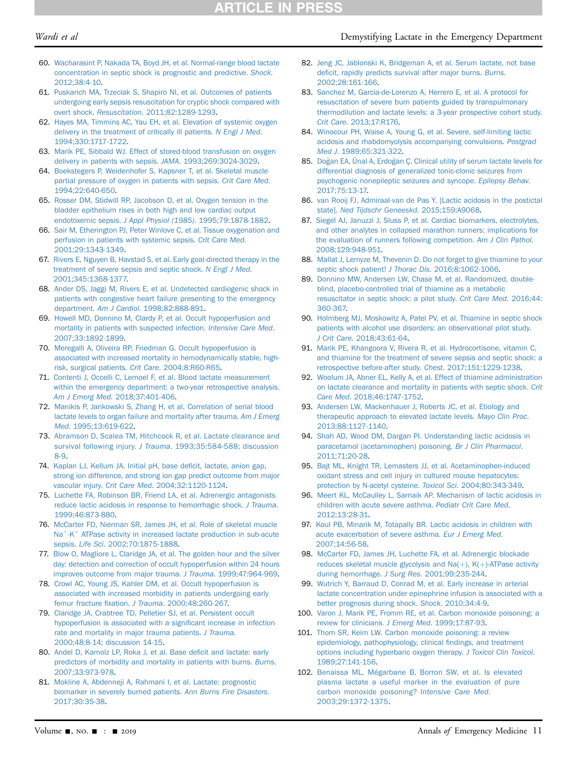# Wardi et al **Wardi et al** Demystifying Lactate in the Emergency Department

- 60. [Wacharasint P, Nakada TA, Boyd JH, et al. Normal-range blood lactate](http://refhub.elsevier.com/S0196-0644(19)30537-2/sref60) [concentration in septic shock is prognostic and predictive.](http://refhub.elsevier.com/S0196-0644(19)30537-2/sref60) Shock. [2012;38:4-10](http://refhub.elsevier.com/S0196-0644(19)30537-2/sref60).
- <span id="page-10-0"></span>61. [Puskarich MA, Trzeciak S, Shapiro NI, et al. Outcomes of patients](http://refhub.elsevier.com/S0196-0644(19)30537-2/sref61) [undergoing early sepsis resuscitation for cryptic shock compared with](http://refhub.elsevier.com/S0196-0644(19)30537-2/sref61) overt shock. Resuscitation[. 2011;82:1289-1293.](http://refhub.elsevier.com/S0196-0644(19)30537-2/sref61)
- <span id="page-10-1"></span>62. [Hayes MA, Timmins AC, Yau EH, et al. Elevation of systemic oxygen](http://refhub.elsevier.com/S0196-0644(19)30537-2/sref62) [delivery in the treatment of critically ill patients.](http://refhub.elsevier.com/S0196-0644(19)30537-2/sref62) N Engl J Med. [1994;330:1717-1722](http://refhub.elsevier.com/S0196-0644(19)30537-2/sref62).
- 63. [Marik PE, Sibbald WJ. Effect of stored-blood transfusion on oxygen](http://refhub.elsevier.com/S0196-0644(19)30537-2/sref63) [delivery in patients with sepsis.](http://refhub.elsevier.com/S0196-0644(19)30537-2/sref63) JAMA. 1993;269:3024-3029.
- 64. [Boekstegers P, Weidenhofer S, Kapsner T, et al. Skeletal muscle](http://refhub.elsevier.com/S0196-0644(19)30537-2/sref64) [partial pressure of oxygen in patients with sepsis.](http://refhub.elsevier.com/S0196-0644(19)30537-2/sref64) Crit Care Med. [1994;22:640-650.](http://refhub.elsevier.com/S0196-0644(19)30537-2/sref64)
- 65. [Rosser DM, Stidwill RP, Jacobson D, et al. Oxygen tension in the](http://refhub.elsevier.com/S0196-0644(19)30537-2/sref65) [bladder epithelium rises in both high and low cardiac output](http://refhub.elsevier.com/S0196-0644(19)30537-2/sref65) endotoxemic sepsis. J Appl Physiol (1985)[. 1995;79:1878-1882](http://refhub.elsevier.com/S0196-0644(19)30537-2/sref65).
- 66. [Sair M, Etherington PJ, Peter Winlove C, et al. Tissue oxygenation and](http://refhub.elsevier.com/S0196-0644(19)30537-2/sref66) [perfusion in patients with systemic sepsis.](http://refhub.elsevier.com/S0196-0644(19)30537-2/sref66) Crit Care Med. [2001;29:1343-1349.](http://refhub.elsevier.com/S0196-0644(19)30537-2/sref66)
- <span id="page-10-2"></span>67. [Rivers E, Nguyen B, Havstad S, et al. Early goal-directed therapy in the](http://refhub.elsevier.com/S0196-0644(19)30537-2/sref67) [treatment of severe sepsis and septic shock.](http://refhub.elsevier.com/S0196-0644(19)30537-2/sref67) N Engl J Med. [2001;345:1368-1377.](http://refhub.elsevier.com/S0196-0644(19)30537-2/sref67)
- <span id="page-10-3"></span>68. [Ander DS, Jaggi M, Rivers E, et al. Undetected cardiogenic shock in](http://refhub.elsevier.com/S0196-0644(19)30537-2/sref68) [patients with congestive heart failure presenting to the emergency](http://refhub.elsevier.com/S0196-0644(19)30537-2/sref68) department. Am J Cardiol[. 1998;82:888-891.](http://refhub.elsevier.com/S0196-0644(19)30537-2/sref68)
- <span id="page-10-25"></span>69. [Howell MD, Donnino M, Clardy P, et al. Occult hypoperfusion and](http://refhub.elsevier.com/S0196-0644(19)30537-2/sref69) [mortality in patients with suspected infection.](http://refhub.elsevier.com/S0196-0644(19)30537-2/sref69) Intensive Care Med. [2007;33:1892-1899.](http://refhub.elsevier.com/S0196-0644(19)30537-2/sref69)
- 70. [Meregalli A, Oliveira RP, Friedman G. Occult hypoperfusion is](http://refhub.elsevier.com/S0196-0644(19)30537-2/sref70) [associated with increased mortality in hemodynamically stable, high](http://refhub.elsevier.com/S0196-0644(19)30537-2/sref70)[risk, surgical patients.](http://refhub.elsevier.com/S0196-0644(19)30537-2/sref70) Crit Care. 2004;8:R60-R65.
- <span id="page-10-4"></span>71. [Contenti J, Occelli C, Lemoel F, et al. Blood lactate measurement](http://refhub.elsevier.com/S0196-0644(19)30537-2/sref71) [within the emergency department: a two-year retrospective analysis.](http://refhub.elsevier.com/S0196-0644(19)30537-2/sref71) Am J Emerg Med[. 2018;37:401-406](http://refhub.elsevier.com/S0196-0644(19)30537-2/sref71).
- <span id="page-10-5"></span>72. [Manikis P, Jankowski S, Zhang H, et al. Correlation of serial blood](http://refhub.elsevier.com/S0196-0644(19)30537-2/sref72) [lactate levels to organ failure and mortality after trauma.](http://refhub.elsevier.com/S0196-0644(19)30537-2/sref72) Am J Emerg Med[. 1995;13:619-622](http://refhub.elsevier.com/S0196-0644(19)30537-2/sref72).
- 73. [Abramson D, Scalea TM, Hitchcock R, et al. Lactate clearance and](http://refhub.elsevier.com/S0196-0644(19)30537-2/sref73) survival following injury. J Trauma[. 1993;35:584-588; discussion](http://refhub.elsevier.com/S0196-0644(19)30537-2/sref73) [8-9.](http://refhub.elsevier.com/S0196-0644(19)30537-2/sref73)
- 74. [Kaplan LJ, Kellum JA. Initial pH, base de](http://refhub.elsevier.com/S0196-0644(19)30537-2/sref74)ficit, lactate, anion gap, [strong ion difference, and strong ion gap predict outcome from major](http://refhub.elsevier.com/S0196-0644(19)30537-2/sref74) vascular injury. Crit Care Med[. 2004;32:1120-1124.](http://refhub.elsevier.com/S0196-0644(19)30537-2/sref74)
- <span id="page-10-6"></span>75. [Luchette FA, Robinson BR, Friend LA, et al. Adrenergic antagonists](http://refhub.elsevier.com/S0196-0644(19)30537-2/sref75) [reduce lactic acidosis in response to hemorrhagic shock.](http://refhub.elsevier.com/S0196-0644(19)30537-2/sref75) J Trauma. [1999;46:873-880](http://refhub.elsevier.com/S0196-0644(19)30537-2/sref75).
- 76. [McCarter FD, Nierman SR, James JH, et al. Role of skeletal muscle](http://refhub.elsevier.com/S0196-0644(19)30537-2/sref76)  $Na<sup>+</sup>-K<sup>+</sup>$  $Na<sup>+</sup>-K<sup>+</sup>$  $Na<sup>+</sup>-K<sup>+</sup>$  $Na<sup>+</sup>-K<sup>+</sup>$  [ATPase activity in increased lactate production in sub-acute](http://refhub.elsevier.com/S0196-0644(19)30537-2/sref76) sepsis. Life Sci[. 2002;70:1875-1888](http://refhub.elsevier.com/S0196-0644(19)30537-2/sref76).
- <span id="page-10-7"></span>77. [Blow O, Magliore L, Claridge JA, et al. The golden hour and the silver](http://refhub.elsevier.com/S0196-0644(19)30537-2/sref77) [day: detection and correction of occult hypoperfusion within 24 hours](http://refhub.elsevier.com/S0196-0644(19)30537-2/sref77) [improves outcome from major trauma.](http://refhub.elsevier.com/S0196-0644(19)30537-2/sref77) J Trauma. 1999;47:964-969.
- 78. [Crowl AC, Young JS, Kahler DM, et al. Occult hypoperfusion is](http://refhub.elsevier.com/S0196-0644(19)30537-2/sref78) [associated with increased morbidity in patients undergoing early](http://refhub.elsevier.com/S0196-0644(19)30537-2/sref78) femur fracture fixation. J Trauma[. 2000;48:260-267.](http://refhub.elsevier.com/S0196-0644(19)30537-2/sref78)
- <span id="page-10-8"></span>79. [Claridge JA, Crabtree TD, Pelletier SJ, et al. Persistent occult](http://refhub.elsevier.com/S0196-0644(19)30537-2/sref79) [hypoperfusion is associated with a signi](http://refhub.elsevier.com/S0196-0644(19)30537-2/sref79)ficant increase in infection [rate and mortality in major trauma patients.](http://refhub.elsevier.com/S0196-0644(19)30537-2/sref79) J Trauma. [2000;48:8-14; discussion 14-15.](http://refhub.elsevier.com/S0196-0644(19)30537-2/sref79)
- <span id="page-10-9"></span>80. [Andel D, Kamolz LP, Roka J, et al. Base de](http://refhub.elsevier.com/S0196-0644(19)30537-2/sref80)ficit and lactate: early [predictors of morbidity and mortality in patients with burns.](http://refhub.elsevier.com/S0196-0644(19)30537-2/sref80) Burns. [2007;33:973-978](http://refhub.elsevier.com/S0196-0644(19)30537-2/sref80).
- 81. [Mokline A, Abdenneji A, Rahmani I, et al. Lactate: prognostic](http://refhub.elsevier.com/S0196-0644(19)30537-2/sref81) [biomarker in severely burned patients.](http://refhub.elsevier.com/S0196-0644(19)30537-2/sref81) Ann Burns Fire Disasters. [2017;30:35-38](http://refhub.elsevier.com/S0196-0644(19)30537-2/sref81).
- <span id="page-10-10"></span>82. [Jeng JC, Jablonski K, Bridgeman A, et al. Serum lactate, not base](http://refhub.elsevier.com/S0196-0644(19)30537-2/sref82) defi[cit, rapidly predicts survival after major burns.](http://refhub.elsevier.com/S0196-0644(19)30537-2/sref82) Burns. [2002;28:161-166](http://refhub.elsevier.com/S0196-0644(19)30537-2/sref82).
- <span id="page-10-11"></span>83. [Sanchez M, Garcia-de-Lorenzo A, Herrero E, et al. A protocol for](http://refhub.elsevier.com/S0196-0644(19)30537-2/sref83) [resuscitation of severe burn patients guided by transpulmonary](http://refhub.elsevier.com/S0196-0644(19)30537-2/sref83) [thermodilution and lactate levels: a 3-year prospective cohort study.](http://refhub.elsevier.com/S0196-0644(19)30537-2/sref83) Crit Care[. 2013;17:R176.](http://refhub.elsevier.com/S0196-0644(19)30537-2/sref83)
- <span id="page-10-12"></span>84. [Winocour PH, Waise A, Young G, et al. Severe, self-limiting lactic](http://refhub.elsevier.com/S0196-0644(19)30537-2/sref84) [acidosis and rhabdomyolysis accompanying convulsions.](http://refhub.elsevier.com/S0196-0644(19)30537-2/sref84) Postgrad Med J[. 1989;65:321-322.](http://refhub.elsevier.com/S0196-0644(19)30537-2/sref84)
- <span id="page-10-13"></span>85. [Do](http://refhub.elsevier.com/S0196-0644(19)30537-2/sref85)ğ[an EA, Ünal A, Erdo](http://refhub.elsevier.com/S0196-0644(19)30537-2/sref85)ğan Ç. Clinical utility of serum lactate levels for [differential diagnosis of generalized tonic-clonic seizures from](http://refhub.elsevier.com/S0196-0644(19)30537-2/sref85) [psychogenic nonepileptic seizures and syncope.](http://refhub.elsevier.com/S0196-0644(19)30537-2/sref85) Epilepsy Behav. [2017;75:13-17.](http://refhub.elsevier.com/S0196-0644(19)30537-2/sref85)
- 86. [van Rooij FJ, Admiraal-van de Pas Y. \[Lactic acidosis in the postictal](http://refhub.elsevier.com/S0196-0644(19)30537-2/sref86) state]. [Ned Tijdschr Geneeskd](http://refhub.elsevier.com/S0196-0644(19)30537-2/sref86). 2015;159:A9068.
- <span id="page-10-14"></span>87. [Siegel AJ, Januzzi J, Sluss P, et al. Cardiac biomarkers, electrolytes,](http://refhub.elsevier.com/S0196-0644(19)30537-2/sref87) [and other analytes in collapsed marathon runners: implications for](http://refhub.elsevier.com/S0196-0644(19)30537-2/sref87) [the evaluation of runners following competition.](http://refhub.elsevier.com/S0196-0644(19)30537-2/sref87) Am J Clin Pathol. [2008;129:948-951](http://refhub.elsevier.com/S0196-0644(19)30537-2/sref87).
- <span id="page-10-15"></span>88. [Mallat J, Lemyze M, Thevenin D. Do not forget to give thiamine to your](http://refhub.elsevier.com/S0196-0644(19)30537-2/sref88) septic shock patient! J Thorac Dis[. 2016;8:1062-1066.](http://refhub.elsevier.com/S0196-0644(19)30537-2/sref88)
- <span id="page-10-16"></span>89. [Donnino MW, Andersen LW, Chase M, et al. Randomized, double](http://refhub.elsevier.com/S0196-0644(19)30537-2/sref89)[blind, placebo-controlled trial of thiamine as a metabolic](http://refhub.elsevier.com/S0196-0644(19)30537-2/sref89) [resuscitator in septic shock: a pilot study.](http://refhub.elsevier.com/S0196-0644(19)30537-2/sref89) Crit Care Med. 2016;44: [360-367.](http://refhub.elsevier.com/S0196-0644(19)30537-2/sref89)
- <span id="page-10-23"></span>90. [Holmberg MJ, Moskowitz A, Patel PV, et al. Thiamine in septic shock](http://refhub.elsevier.com/S0196-0644(19)30537-2/sref90) [patients with alcohol use disorders: an observational pilot study.](http://refhub.elsevier.com/S0196-0644(19)30537-2/sref90) J Crit Care[. 2018;43:61-64](http://refhub.elsevier.com/S0196-0644(19)30537-2/sref90).
- 91. [Marik PE, Khangoora V, Rivera R, et al. Hydrocortisone, vitamin C,](http://refhub.elsevier.com/S0196-0644(19)30537-2/sref91) [and thiamine for the treatment of severe sepsis and septic shock: a](http://refhub.elsevier.com/S0196-0644(19)30537-2/sref91) [retrospective before-after study.](http://refhub.elsevier.com/S0196-0644(19)30537-2/sref91) Chest. 2017;151:1229-1238.
- 92. [Woolum JA, Abner EL, Kelly A, et al. Effect of thiamine administration](http://refhub.elsevier.com/S0196-0644(19)30537-2/sref92) [on lactate clearance and mortality in patients with septic shock.](http://refhub.elsevier.com/S0196-0644(19)30537-2/sref92) Crit Care Med[. 2018;46:1747-1752](http://refhub.elsevier.com/S0196-0644(19)30537-2/sref92).
- <span id="page-10-17"></span>93. [Andersen LW, Mackenhauer J, Roberts JC, et al. Etiology and](http://refhub.elsevier.com/S0196-0644(19)30537-2/sref93) [therapeutic approach to elevated lactate levels.](http://refhub.elsevier.com/S0196-0644(19)30537-2/sref93) Mayo Clin Proc. [2013;88:1127-1140](http://refhub.elsevier.com/S0196-0644(19)30537-2/sref93).
- <span id="page-10-18"></span>94. [Shah AD, Wood DM, Dargan PI. Understanding lactic acidosis in](http://refhub.elsevier.com/S0196-0644(19)30537-2/sref94) [paracetamol \(acetaminophen\) poisoning.](http://refhub.elsevier.com/S0196-0644(19)30537-2/sref94) Br J Clin Pharmacol. [2011;71:20-28.](http://refhub.elsevier.com/S0196-0644(19)30537-2/sref94)
- 95. [Bajt ML, Knight TR, Lemasters JJ, et al. Acetaminophen-induced](http://refhub.elsevier.com/S0196-0644(19)30537-2/sref95) [oxidant stress and cell injury in cultured mouse hepatocytes:](http://refhub.elsevier.com/S0196-0644(19)30537-2/sref95) [protection by N-acetyl cysteine.](http://refhub.elsevier.com/S0196-0644(19)30537-2/sref95) Toxicol Sci. 2004;80:343-349.
- <span id="page-10-19"></span>96. [Meert KL, McCaulley L, Sarnaik AP. Mechanism of lactic acidosis in](http://refhub.elsevier.com/S0196-0644(19)30537-2/sref96) [children with acute severe asthma.](http://refhub.elsevier.com/S0196-0644(19)30537-2/sref96) Pediatr Crit Care Med. [2012;13:28-31](http://refhub.elsevier.com/S0196-0644(19)30537-2/sref96).
- <span id="page-10-20"></span>97. [Koul PB, Minarik M, Totapally BR. Lactic acidosis in children with](http://refhub.elsevier.com/S0196-0644(19)30537-2/sref97) [acute exacerbation of severe asthma.](http://refhub.elsevier.com/S0196-0644(19)30537-2/sref97) Eur J Emerg Med. [2007;14:56-58](http://refhub.elsevier.com/S0196-0644(19)30537-2/sref97).
- 98. [McCarter FD, James JH, Luchette FA, et al. Adrenergic blockade](http://refhub.elsevier.com/S0196-0644(19)30537-2/sref98) reduces skeletal muscle glycolysis and Na $(+)$ , K $(+)$ -ATPase activity during hemorrhage. J Surg Res[. 2001;99:235-244.](http://refhub.elsevier.com/S0196-0644(19)30537-2/sref98)
- <span id="page-10-21"></span>99. [Wutrich Y, Barraud D, Conrad M, et al. Early increase in arterial](http://refhub.elsevier.com/S0196-0644(19)30537-2/sref99) [lactate concentration under epinephrine infusion is associated with a](http://refhub.elsevier.com/S0196-0644(19)30537-2/sref99) [better prognosis during shock.](http://refhub.elsevier.com/S0196-0644(19)30537-2/sref99) Shock. 2010;34:4-9.
- <span id="page-10-22"></span>100. [Varon J, Marik PE, Fromm RE, et al. Carbon monoxide poisoning: a](http://refhub.elsevier.com/S0196-0644(19)30537-2/sref100) [review for clinicians.](http://refhub.elsevier.com/S0196-0644(19)30537-2/sref100) J Emerg Med. 1999;17:87-93.
- <span id="page-10-24"></span>101. [Thom SR, Keim LW. Carbon monoxide poisoning: a review](http://refhub.elsevier.com/S0196-0644(19)30537-2/sref101) [epidemiology, pathophysiology, clinical](http://refhub.elsevier.com/S0196-0644(19)30537-2/sref101) findings, and treatment [options including hyperbaric oxygen therapy.](http://refhub.elsevier.com/S0196-0644(19)30537-2/sref101) J Toxicol Clin Toxicol. [1989;27:141-156](http://refhub.elsevier.com/S0196-0644(19)30537-2/sref101).
- 102. [Benaissa ML, Mégarbane B, Borron SW, et al. Is elevated](http://refhub.elsevier.com/S0196-0644(19)30537-2/sref102) [plasma lactate a useful marker in the evaluation of pure](http://refhub.elsevier.com/S0196-0644(19)30537-2/sref102) [carbon monoxide poisoning?](http://refhub.elsevier.com/S0196-0644(19)30537-2/sref102) Intensive Care Med. [2003;29:1372-1375.](http://refhub.elsevier.com/S0196-0644(19)30537-2/sref102)